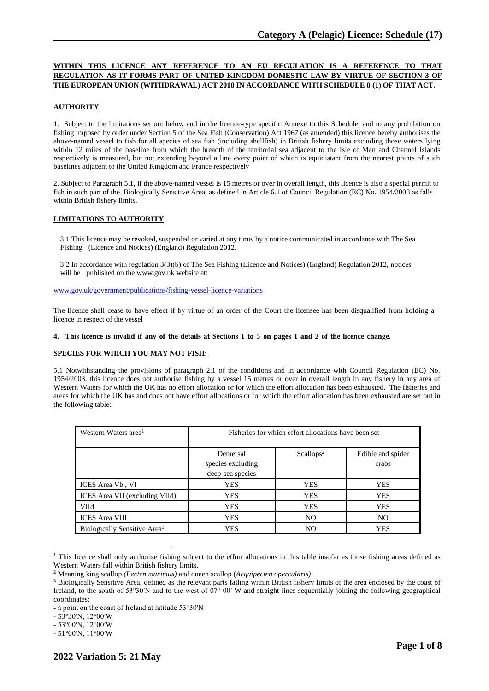# **WITHIN THIS LICENCE ANY REFERENCE TO AN EU REGULATION IS A REFERENCE TO THAT REGULATION AS IT FORMS PART OF UNITED KINGDOM DOMESTIC LAW BY VIRTUE OF SECTION 3 OF THE EUROPEAN UNION (WITHDRAWAL) ACT 2018 IN ACCORDANCE WITH SCHEDULE 8 (1) OF THAT ACT.**

# **AUTHORITY**

1. Subject to the limitations set out below and in the licence-type specific Annexe to this Schedule, and to any prohibition on fishing imposed by order under Section 5 of the Sea Fish (Conservation) Act 1967 (as amended) this licence hereby authorises the above-named vessel to fish for all species of sea fish (including shellfish) in British fishery limits excluding those waters lying within 12 miles of the baseline from which the breadth of the territorial sea adjacent to the Isle of Man and Channel Islands respectively is measured, but not extending beyond a line every point of which is equidistant from the nearest points of such baselines adjacent to the United Kingdom and France respectively

2. Subject to Paragraph 5.1, if the above-named vessel is 15 metres or over in overall length, this licence is also a special permit to fish in such part of the Biologically Sensitive Area, as defined in Article 6.1 of Council Regulation (EC) No. 1954/2003 as falls within British fishery limits.

### **LIMITATIONS TO AUTHORITY**

3.1 This licence may be revoked, suspended or varied at any time, by a notice communicated in accordance with The Sea Fishing (Licence and Notices) (England) Regulation 2012.

3.2 In accordance with regulation 3(3)(b) of The Sea Fishing (Licence and Notices) (England) Regulation 2012, notices will be published on the [www.gov.uk](http://www.gov.uk/) website at:

[www.gov.uk/government/publications/fishing-vessel-licence-variations](http://www.gov.uk/government/publications/fishing-vessel-licence-variations)

The licence shall cease to have effect if by virtue of an order of the Court the licensee has been disqualified from holding a licence in respect of the vessel

#### 4. This licence is invalid if any of the details at Sections 1 to 5 on pages 1 and 2 of the licence change.

#### **SPECIES FOR WHICH YOU MAY NOT FISH:**

5.1 Notwithstanding the provisions of paragraph 2.1 of the conditions and in accordance with Council Regulation (EC) No. 1954/2003, this licence does not authorise fishing by a vessel 15 metres or over in overall length in any fishery in any area of Western Waters for which the UK has no effort allocation or for which the effort allocation has been exhausted. The fisheries and areas for which the UK has and does not have effort allocations or for which the effort allocation has been exhausted are set out in the following table:

| Western Waters area <sup>1</sup>         | Fisheries for which effort allocations have been set |                       |                            |
|------------------------------------------|------------------------------------------------------|-----------------------|----------------------------|
|                                          | Demersal<br>species excluding<br>deep-sea species    | Scallops <sup>2</sup> | Edible and spider<br>crabs |
| ICES Area Vb, VI                         | YES                                                  | <b>YES</b>            | <b>YES</b>                 |
| ICES Area VII (excluding VIId)           | YES                                                  | <b>YES</b>            | <b>YES</b>                 |
| <b>VIId</b>                              | YES                                                  | <b>YES</b>            | <b>YES</b>                 |
| <b>ICES</b> Area VIII                    | YES                                                  | N <sub>O</sub>        | N <sub>O</sub>             |
| Biologically Sensitive Area <sup>3</sup> | YES                                                  | NO                    | <b>YES</b>                 |

<sup>&</sup>lt;sup>1</sup> This licence shall only authorise fishing subject to the effort allocations in this table insofar as those fishing areas defined as Western Waters fall within British fishery limits.

<sup>2</sup> Meaning king scallop *(Pecten maximus)* and queen scallop (*Aequipecten opercularis)*

<sup>&</sup>lt;sup>3</sup> Biologically Sensitive Area, defined as the relevant parts falling within British fishery limits of the area enclosed by the coast of Ireland, to the south of 53°30′N and to the west of  $07^{\circ}$  00′ W and straight lines sequentially joining the following geographical coordinates:

<sup>-</sup> a point on the coast of Ireland at latitude 53°30′N

<sup>-</sup> 53°30′N, 12°00′W

<sup>-</sup> 53°00′N, 12°00′W

<sup>-</sup> 51°00′N, 11°00′W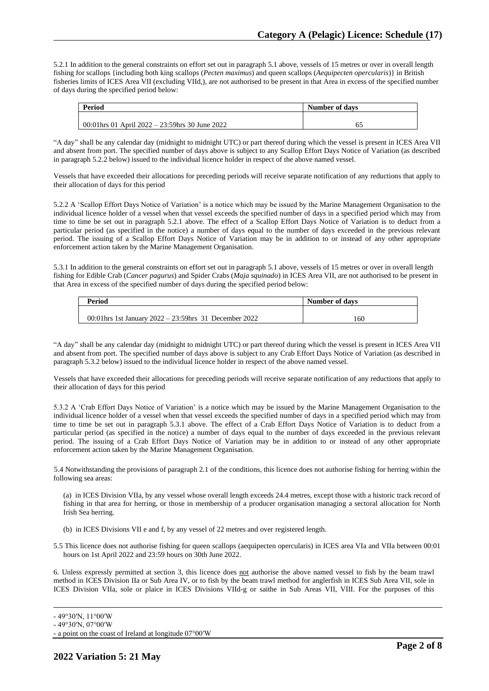5.2.1 In addition to the general constraints on effort set out in paragraph 5.1 above, vessels of 15 metres or over in overall length fishing for scallops {including both king scallops (*Pecten maximus*) and queen scallops (*Aequipecten opercularis*)} in British fisheries limits of ICES Area VII (excluding VIId,), are not authorised to be present in that Area in excess of the specified number of days during the specified period below:

| Period |                                                  | Number of days |
|--------|--------------------------------------------------|----------------|
|        |                                                  |                |
|        | 00:01 hrs 01 April 2022 – 23:59 hrs 30 June 2022 | 62             |

"A day" shall be any calendar day (midnight to midnight UTC) or part thereof during which the vessel is present in ICES Area VII and absent from port. The specified number of days above is subject to any Scallop Effort Days Notice of Variation (as described in paragraph 5.2.2 below) issued to the individual licence holder in respect of the above named vessel.

Vessels that have exceeded their allocations for preceding periods will receive separate notification of any reductions that apply to their allocation of days for this period

5.2.2 A 'Scallop Effort Days Notice of Variation' is a notice which may be issued by the Marine Management Organisation to the individual licence holder of a vessel when that vessel exceeds the specified number of days in a specified period which may from time to time be set out in paragraph 5.2.1 above. The effect of a Scallop Effort Days Notice of Variation is to deduct from a particular period (as specified in the notice) a number of days equal to the number of days exceeded in the previous relevant period. The issuing of a Scallop Effort Days Notice of Variation may be in addition to or instead of any other appropriate enforcement action taken by the Marine Management Organisation.

5.3.1 In addition to the general constraints on effort set out in paragraph 5.1 above, vessels of 15 metres or over in overall length fishing for Edible Crab (*Cancer pagurus*) and Spider Crabs (*Maja squinado*) in ICES Area VII, are not authorised to be present in that Area in excess of the specified number of days during the specified period below:

| Period                                                    | Number of days |
|-----------------------------------------------------------|----------------|
|                                                           |                |
| 00:01 hrs 1st January $2022 - 23:59$ hrs 31 December 2022 | 160            |

"A day" shall be any calendar day (midnight to midnight UTC) or part thereof during which the vessel is present in ICES Area VII and absent from port. The specified number of days above is subject to any Crab Effort Days Notice of Variation (as described in paragraph 5.3.2 below) issued to the individual licence holder in respect of the above named vessel.

Vessels that have exceeded their allocations for preceding periods will receive separate notification of any reductions that apply to their allocation of days for this period

5.3.2 A 'Crab Effort Days Notice of Variation' is a notice which may be issued by the Marine Management Organisation to the individual licence holder of a vessel when that vessel exceeds the specified number of days in a specified period which may from time to time be set out in paragraph 5.3.1 above. The effect of a Crab Effort Days Notice of Variation is to deduct from a particular period (as specified in the notice) a number of days equal to the number of days exceeded in the previous relevant period. The issuing of a Crab Effort Days Notice of Variation may be in addition to or instead of any other appropriate enforcement action taken by the Marine Management Organisation.

5.4 Notwithstanding the provisions of paragraph 2.1 of the conditions, this licence does not authorise fishing for herring within the following sea areas:

(a) in ICES Division VIIa, by any vessel whose overall length exceeds 24.4 metres, except those with a historic track record of fishing in that area for herring, or those in membership of a producer organisation managing a sectoral allocation for North Irish Sea herring.

- (b) in ICES Divisions VII e and f, by any vessel of 22 metres and over registered length.
- 5.5 This licence does not authorise fishing for queen scallops (aequipecten opercularis) in ICES area VIa and VIIa between 00:01 hours on 1st April 2022 and 23:59 hours on 30th June 2022.

6. Unless expressly permitted at section 3, this licence does not authorise the above named vessel to fish by the beam trawl method in ICES Division IIa or Sub Area IV, or to fish by the beam trawl method for anglerfish in ICES Sub Area VII, sole in ICES Division VIIa, sole or plaice in ICES Divisions VIId-g or saithe in Sub Areas VII, VIII. For the purposes of this

<sup>-</sup> 49°30′N, 11°00′W

<sup>-</sup> 49°30′N, 07°00′W

<sup>-</sup> a point on the coast of Ireland at longitude 07°00′W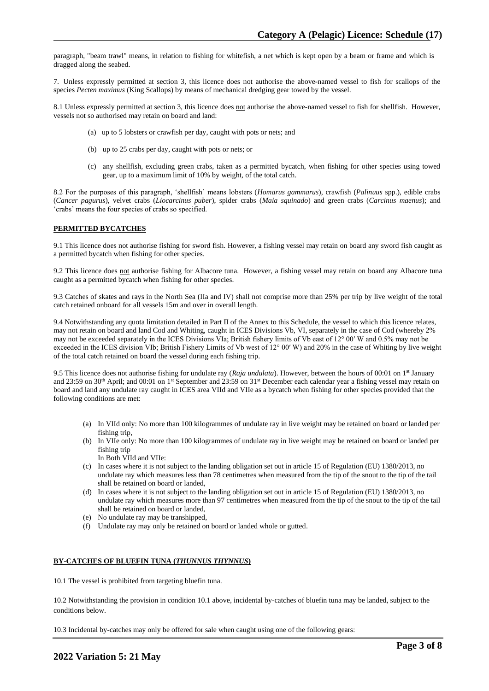paragraph, "beam trawl" means, in relation to fishing for whitefish, a net which is kept open by a beam or frame and which is dragged along the seabed.

7. Unless expressly permitted at section 3, this licence does not authorise the above-named vessel to fish for scallops of the species *Pecten maximus* (King Scallops) by means of mechanical dredging gear towed by the vessel.

8.1 Unless expressly permitted at section 3, this licence does not authorise the above-named vessel to fish for shellfish. However, vessels not so authorised may retain on board and land:

- (a) up to 5 lobsters or crawfish per day, caught with pots or nets; and
- (b) up to 25 crabs per day, caught with pots or nets; or
- (c) any shellfish, excluding green crabs, taken as a permitted bycatch, when fishing for other species using towed gear, up to a maximum limit of 10% by weight, of the total catch.

8.2 For the purposes of this paragraph, 'shellfish' means lobsters (*Homarus gammarus*), crawfish (*Palinuus* spp.), edible crabs (*Cancer pagurus*), velvet crabs (*Liocarcinus puber*), spider crabs (*Maia squinado*) and green crabs (*Carcinus maenus*); and 'crabs' means the four species of crabs so specified.

### **PERMITTED BYCATCHES**

9.1 This licence does not authorise fishing for sword fish. However, a fishing vessel may retain on board any sword fish caught as a permitted bycatch when fishing for other species.

9.2 This licence does not authorise fishing for Albacore tuna. However, a fishing vessel may retain on board any Albacore tuna caught as a permitted bycatch when fishing for other species.

9.3 Catches of skates and rays in the North Sea (IIa and IV) shall not comprise more than 25% per trip by live weight of the total catch retained onboard for all vessels 15m and over in overall length.

9.4 Notwithstanding any quota limitation detailed in Part II of the Annex to this Schedule, the vessel to which this licence relates, may not retain on board and land Cod and Whiting, caught in ICES Divisions Vb, VI, separately in the case of Cod (whereby 2% may not be exceeded separately in the ICES Divisions VIa; British fishery limits of Vb east of 12° 00′ W and 0.5% may not be exceeded in the ICES division VIb; British Fishery Limits of Vb west of 12° 00′ W) and 20% in the case of Whiting by live weight of the total catch retained on board the vessel during each fishing trip.

9.5 This licence does not authorise fishing for undulate ray (*Raja undulata*). However, between the hours of 00:01 on 1 st January and 23:59 on 30<sup>th</sup> April; and 00:01 on 1<sup>st</sup> September and 23:59 on 31<sup>st</sup> December each calendar year a fishing vessel may retain on board and land any undulate ray caught in ICES area VIId and VIIe as a bycatch when fishing for other species provided that the following conditions are met:

- (a) In VIId only: No more than 100 kilogrammes of undulate ray in live weight may be retained on board or landed per fishing trip,
- (b) In VIIe only: No more than 100 kilogrammes of undulate ray in live weight may be retained on board or landed per fishing trip
	- In Both VIId and VIIe:
- (c) In cases where it is not subject to the landing obligation set out in article 15 of Regulation (EU) 1380/2013, no undulate ray which measures less than 78 centimetres when measured from the tip of the snout to the tip of the tail shall be retained on board or landed,
- (d) In cases where it is not subject to the landing obligation set out in article 15 of Regulation (EU) 1380/2013, no undulate ray which measures more than 97 centimetres when measured from the tip of the snout to the tip of the tail shall be retained on board or landed,
- (e) No undulate ray may be transhipped,
- (f) Undulate ray may only be retained on board or landed whole or gutted.

### **BY-CATCHES OF BLUEFIN TUNA (***THUNNUS THYNNUS***)**

10.1 The vessel is prohibited from targeting bluefin tuna.

10.2 Notwithstanding the provision in condition 10.1 above, incidental by-catches of bluefin tuna may be landed, subject to the conditions below.

10.3 Incidental by-catches may only be offered for sale when caught using one of the following gears: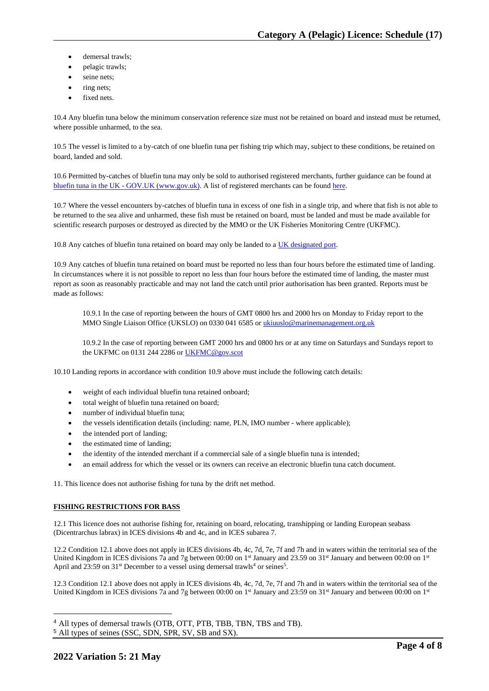- demersal trawls;
- pelagic trawls;
- seine nets;
- ring nets;
- fixed nets.

10.4 Any bluefin tuna below the minimum conservation reference size must not be retained on board and instead must be returned, where possible unharmed, to the sea.

10.5 The vessel is limited to a by-catch of one bluefin tuna per fishing trip which may, subject to these conditions, be retained on board, landed and sold.

10.6 Permitted by-catches of bluefin tuna may only be sold to authorised registered merchants, further guidance can be found at bluefin tuna in the UK - [GOV.UK \(www.gov.uk\).](https://www.gov.uk/guidance/bluefin-tuna-in-the-uk) A list of registered merchants can be found [here.](https://www.gov.uk/government/publications/bluefin-tuna-traders/registered-bluefin-tuna-traders)

10.7 Where the vessel encounters by-catches of bluefin tuna in excess of one fish in a single trip, and where that fish is not able to be returned to the sea alive and unharmed, these fish must be retained on board, must be landed and must be made available for scientific research purposes or destroyed as directed by the MMO or the UK Fisheries Monitoring Centre (UKFMC).

10.8 Any catches of bluefin tuna retained on board may only be landed to [a UK designated port.](https://www.gov.uk/government/publications/designated-ports/designated-ports-for-uk-flagged-vessels-landing-bluefin-tuna)

10.9 Any catches of bluefin tuna retained on board must be reported no less than four hours before the estimated time of landing. In circumstances where it is not possible to report no less than four hours before the estimated time of landing, the master must report as soon as reasonably practicable and may not land the catch until prior authorisation has been granted. Reports must be made as follows:

10.9.1 In the case of reporting between the hours of GMT 0800 hrs and 2000 hrs on Monday to Friday report to the MMO Single Liaison Office (UKSLO) on 0330 041 6585 o[r ukiuuslo@marinemanagement.org.uk](mailto:ukiuuslo@marinemanagement.org.uk)

10.9.2 In the case of reporting between GMT 2000 hrs and 0800 hrs or at any time on Saturdays and Sundays report to the UKFMC on 0131 244 2286 o[r UKFMC@gov.scot](mailto:UKFMC@gov.scot)

10.10 Landing reports in accordance with condition 10.9 above must include the following catch details:

- weight of each individual bluefin tuna retained onboard;
- total weight of bluefin tuna retained on board;
- number of individual bluefin tuna;
- the vessels identification details (including: name, PLN, IMO number where applicable);
- the intended port of landing;
- the estimated time of landing;
- the identity of the intended merchant if a commercial sale of a single bluefin tuna is intended;
- an email address for which the vessel or its owners can receive an electronic bluefin tuna catch document.

11. This licence does not authorise fishing for tuna by the drift net method.

## **FISHING RESTRICTIONS FOR BASS**

12.1 This licence does not authorise fishing for, retaining on board, relocating, transhipping or landing European seabass (Dicentrarchus labrax) in ICES divisions 4b and 4c, and in ICES subarea 7.

12.2 Condition 12.1 above does not apply in ICES divisions 4b, 4c, 7d, 7e, 7f and 7h and in waters within the territorial sea of the United Kingdom in ICES divisions 7a and 7g between 00:00 on 1st January and 23.59 on 31st January and between 00:00 on 1st April and 23:59 on 31<sup>st</sup> December to a vessel using demersal trawls<sup>4</sup> or seines<sup>5</sup>.

12.3 Condition 12.1 above does not apply in ICES divisions 4b, 4c, 7d, 7e, 7f and 7h and in waters within the territorial sea of the United Kingdom in ICES divisions 7a and 7g between 00:00 on  $1<sup>st</sup>$  January and 23:59 on 31 $<sup>st</sup>$  January and between 00:00 on  $1<sup>st</sup>$ </sup>

<sup>4</sup> All types of demersal trawls (OTB, OTT, PTB, TBB, TBN, TBS and TB).

<sup>5</sup> All types of seines (SSC, SDN, SPR, SV, SB and SX).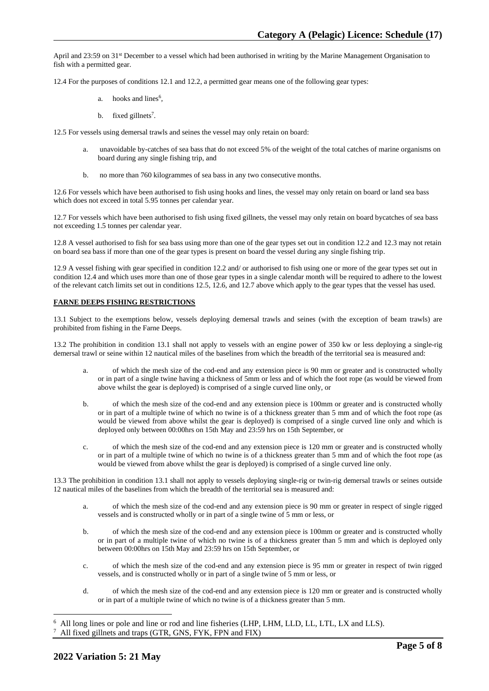April and 23:59 on 31st December to a vessel which had been authorised in writing by the Marine Management Organisation to fish with a permitted gear.

12.4 For the purposes of conditions 12.1 and 12.2, a permitted gear means one of the following gear types:

- a. hooks and lines<sup>6</sup>,
- b. fixed gillnets<sup>7</sup>.

12.5 For vessels using demersal trawls and seines the vessel may only retain on board:

- unavoidable by-catches of sea bass that do not exceed 5% of the weight of the total catches of marine organisms on board during any single fishing trip, and
- b. no more than 760 kilogrammes of sea bass in any two consecutive months.

12.6 For vessels which have been authorised to fish using hooks and lines, the vessel may only retain on board or land sea bass which does not exceed in total 5.95 tonnes per calendar year.

12.7 For vessels which have been authorised to fish using fixed gillnets, the vessel may only retain on board bycatches of sea bass not exceeding 1.5 tonnes per calendar year.

12.8 A vessel authorised to fish for sea bass using more than one of the gear types set out in condition 12.2 and 12.3 may not retain on board sea bass if more than one of the gear types is present on board the vessel during any single fishing trip.

12.9 A vessel fishing with gear specified in condition 12.2 and/ or authorised to fish using one or more of the gear types set out in condition 12.4 and which uses more than one of those gear types in a single calendar month will be required to adhere to the lowest of the relevant catch limits set out in conditions 12.5, 12.6, and 12.7 above which apply to the gear types that the vessel has used.

#### **FARNE DEEPS FISHING RESTRICTIONS**

13.1 Subject to the exemptions below, vessels deploying demersal trawls and seines (with the exception of beam trawls) are prohibited from fishing in the Farne Deeps.

13.2 The prohibition in condition 13.1 shall not apply to vessels with an engine power of 350 kw or less deploying a single-rig demersal trawl or seine within 12 nautical miles of the baselines from which the breadth of the territorial sea is measured and:

- a. of which the mesh size of the cod-end and any extension piece is 90 mm or greater and is constructed wholly or in part of a single twine having a thickness of 5mm or less and of which the foot rope (as would be viewed from above whilst the gear is deployed) is comprised of a single curved line only, or
- b. of which the mesh size of the cod-end and any extension piece is 100mm or greater and is constructed wholly or in part of a multiple twine of which no twine is of a thickness greater than 5 mm and of which the foot rope (as would be viewed from above whilst the gear is deployed) is comprised of a single curved line only and which is deployed only between 00:00hrs on 15th May and 23:59 hrs on 15th September, or
- c. of which the mesh size of the cod-end and any extension piece is 120 mm or greater and is constructed wholly or in part of a multiple twine of which no twine is of a thickness greater than 5 mm and of which the foot rope (as would be viewed from above whilst the gear is deployed) is comprised of a single curved line only.

13.3 The prohibition in condition 13.1 shall not apply to vessels deploying single-rig or twin-rig demersal trawls or seines outside 12 nautical miles of the baselines from which the breadth of the territorial sea is measured and:

- a. of which the mesh size of the cod-end and any extension piece is 90 mm or greater in respect of single rigged vessels and is constructed wholly or in part of a single twine of 5 mm or less, or
- b. of which the mesh size of the cod-end and any extension piece is 100mm or greater and is constructed wholly or in part of a multiple twine of which no twine is of a thickness greater than 5 mm and which is deployed only between 00:00hrs on 15th May and 23:59 hrs on 15th September, or
- c. of which the mesh size of the cod-end and any extension piece is 95 mm or greater in respect of twin rigged vessels, and is constructed wholly or in part of a single twine of 5 mm or less, or
- d. of which the mesh size of the cod-end and any extension piece is 120 mm or greater and is constructed wholly or in part of a multiple twine of which no twine is of a thickness greater than 5 mm.

<sup>6</sup> All long lines or pole and line or rod and line fisheries (LHP, LHM, LLD, LL, LTL, LX and LLS). 7 All fixed gillnets and traps (GTR, GNS, FYK, FPN and FIX)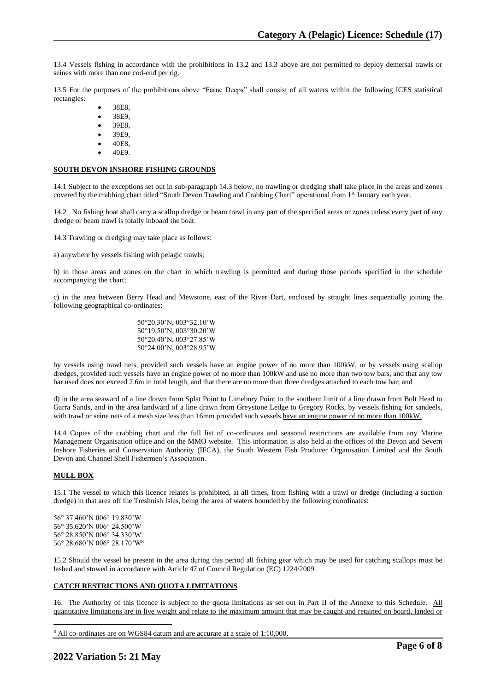13.4 Vessels fishing in accordance with the prohibitions in 13.2 and 13.3 above are not permitted to deploy demersal trawls or seines with more than one cod-end per rig.

13.5 For the purposes of the prohibitions above "Farne Deeps" shall consist of all waters within the following ICES statistical rectangles:

- 38E8,
- 38E9,
- 39E8,
- 39E9,
- 40E8.
- 40E9.

#### **SOUTH DEVON INSHORE FISHING GROUNDS**

14.1 Subject to the exceptions set out in sub-paragraph 14.3 below, no trawling or dredging shall take place in the areas and zones covered by the crabbing chart titled "South Devon Trawling and Crabbing Chart" operational from 1st January each year.

14.2 No fishing boat shall carry a scallop dredge or beam trawl in any part of the specified areas or zones unless every part of any dredge or beam trawl is totally inboard the boat.

14.3 Trawling or dredging may take place as follows:

a) anywhere by vessels fishing with pelagic trawls;

b) in those areas and zones on the chart in which trawling is permitted and during those periods specified in the schedule accompanying the chart;

c) in the area between Berry Head and Mewstone, east of the River Dart, enclosed by straight lines sequentially joining the following geographical co-ordinates:

> 50°20.30'N, 003°32.10'W 50°19.50'N, 003°30.20'W 50°20.40'N, 003°27.85'W 50°24.00'N, 003°28.95'W

by vessels using trawl nets, provided such vessels have an engine power of no more than 100kW, or by vessels using scallop dredges, provided such vessels have an engine power of no more than 100kW and use no more than two tow bars, and that any tow bar used does not exceed 2.6m in total length, and that there are no more than three dredges attached to each tow bar; and

d) in the area seaward of a line drawn from Splat Point to Limebury Point to the southern limit of a line drawn from Bolt Head to Garra Sands, and in the area landward of a line drawn from Greystone Ledge to Gregory Rocks, by vessels fishing for sandeels, with trawl or seine nets of a mesh size less than 16mm provided such vessels have an engine power of no more than 100kW..

14.4 Copies of the crabbing chart and the full list of co-ordinates and seasonal restrictions are available from any Marine Management Organisation office and on the MMO website. This information is also held at the offices of the Devon and Severn Inshore Fisheries and Conservation Authority (IFCA), the South Western Fish Producer Organisation Limited and the South Devon and Channel Shell Fishermen's Association.

#### **MULL BOX**

15.1 The vessel to which this licence relates is prohibited, at all times, from fishing with a trawl or dredge (including a suction dredge) in that area off the Treshnish Isles, being the area of waters bounded by the following coordinates:

56° 37.460'N 006° 19.830'W 56° 35.620'N 006° 24.500'W 56° 28.850'N 006° 34.330'W 56° 28.680'N 006° 28.170'W<sup>8</sup>

15.2 Should the vessel be present in the area during this period all fishing gear which may be used for catching scallops must be lashed and stowed in accordance with Article 47 of Council Regulation (EC) 1224/2009.

## **CATCH RESTRICTIONS AND QUOTA LIMITATIONS**

16. The Authority of this licence is subject to the quota limitations as set out in Part II of the Annexe to this Schedule. All quantitative limitations are in live weight and relate to the maximum amount that may be caught and retained on board, landed or

<sup>8</sup> All co-ordinates are on WGS84 datum and are accurate at a scale of 1:10,000.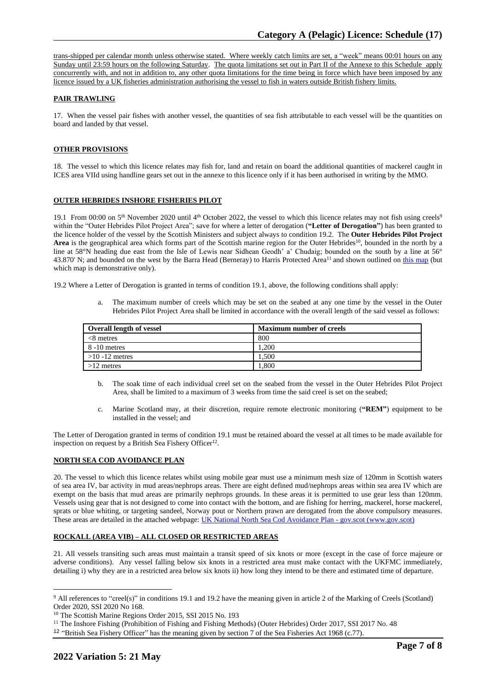trans-shipped per calendar month unless otherwise stated. Where weekly catch limits are set, a "week" means 00:01 hours on any Sunday until 23:59 hours on the following Saturday. The quota limitations set out in Part II of the Annexe to this Schedule apply concurrently with, and not in addition to, any other quota limitations for the time being in force which have been imposed by any licence issued by a UK fisheries administration authorising the vessel to fish in waters outside British fishery limits.

### **PAIR TRAWLING**

17. When the vessel pair fishes with another vessel, the quantities of sea fish attributable to each vessel will be the quantities on board and landed by that vessel.

## **OTHER PROVISIONS**

18. The vessel to which this licence relates may fish for, land and retain on board the additional quantities of mackerel caught in ICES area VIId using handline gears set out in the annexe to this licence only if it has been authorised in writing by the MMO.

## **OUTER HEBRIDES INSHORE FISHERIES PILOT**

19.1 From 00:00 on  $5<sup>th</sup>$  November 2020 until 4<sup>th</sup> October 2022, the vessel to which this licence relates may not fish using creels<sup>9</sup> within the "Outer Hebrides Pilot Project Area"; save for where a letter of derogation (**"Letter of Derogation"**) has been granted to the licence holder of the vessel by the Scottish Ministers and subject always to condition 19.2. The **Outer Hebrides Pilot Project**  Area is the geographical area which forms part of the Scottish marine region for the Outer Hebrides<sup>10</sup>, bounded in the north by a line at 58°N heading due east from the Isle of Lewis near Sidhean Geodh' a' Chudaig; bounded on the south by a line at 56° 43.870' N; and bounded on the west by the Barra Head (Berneray) to Harris Protected Area<sup>11</sup> and shown outlined on [this map](https://www.gov.scot/publications/outer-hebrides-inshore-fisheries-pilot-area) (but which map is demonstrative only).

19.2 Where a Letter of Derogation is granted in terms of condition 19.1, above, the following conditions shall apply:

a. The maximum number of creels which may be set on the seabed at any one time by the vessel in the Outer Hebrides Pilot Project Area shall be limited in accordance with the overall length of the said vessel as follows:

| Overall length of vessel | <b>Maximum number of creels</b> |
|--------------------------|---------------------------------|
| $<8$ metres              | 800                             |
| 8 -10 metres             | 1.200                           |
| $>10 - 12$ metres        | 1.500                           |
| $>12$ metres             | 1.800                           |

- b. The soak time of each individual creel set on the seabed from the vessel in the Outer Hebrides Pilot Project Area, shall be limited to a maximum of 3 weeks from time the said creel is set on the seabed;
- c. Marine Scotland may, at their discretion, require remote electronic monitoring (**"REM"**) equipment to be installed in the vessel; and

The Letter of Derogation granted in terms of condition 19.1 must be retained aboard the vessel at all times to be made available for inspection on request by a British Sea Fishery Officer<sup>12</sup>.

#### **NORTH SEA COD AVOIDANCE PLAN**

20. The vessel to which this licence relates whilst using mobile gear must use a minimum mesh size of 120mm in Scottish waters of sea area IV, bar activity in mud areas/nephrops areas. There are eight defined mud/nephrops areas within sea area IV which are exempt on the basis that mud areas are primarily nephrops grounds. In these areas it is permitted to use gear less than 120mm. Vessels using gear that is not designed to come into contact with the bottom, and are fishing for herring, mackerel, horse mackerel, sprats or blue whiting, or targeting sandeel, Norway pout or Northern prawn are derogated from the above compulsory measures. These areas are detailed in the attached webpage: [UK National North Sea Cod Avoidance Plan -](https://eur03.safelinks.protection.outlook.com/?url=https%3A%2F%2Fwww.gov.scot%2Fpublications%2Fnorth-sea-cod-plan%2F&data=04%7C01%7CNeal.Joicey%40marinemanagement.org.uk%7Cec7de88063ff469dbe6108d8acce3261%7C770a245002274c6290c74e38537f1102%7C1%7C0%7C637449348919731757%7CUnknown%7CTWFpbGZsb3d8eyJWIjoiMC4wLjAwMDAiLCJQIjoiV2luMzIiLCJBTiI6Ik1haWwiLCJXVCI6Mn0%3D%7C1000&sdata=yY%2B8k3tNYa5UZI3hB3JhcXWVS8v%2BF%2BwdOxIe9UuvGHg%3D&reserved=0) gov.scot (www.gov.scot)

## **ROCKALL (AREA VIB) – ALL CLOSED OR RESTRICTED AREAS**

21. All vessels transiting such areas must maintain a transit speed of six knots or more (except in the case of force majeure or adverse conditions). Any vessel falling below six knots in a restricted area must make contact with the UKFMC immediately, detailing i) why they are in a restricted area below six knots ii) how long they intend to be there and estimated time of departure.

<sup>9</sup> All references to "creel(s)" in conditions 19.1 and 19.2 have the meaning given in article 2 of the Marking of Creels (Scotland) Order 2020, SSI 2020 No 168.

<sup>&</sup>lt;sup>10</sup> The Scottish Marine Regions Order 2015, SSI 2015 No. 193

<sup>&</sup>lt;sup>11</sup> The Inshore Fishing (Prohibition of Fishing and Fishing Methods) (Outer Hebrides) Order 2017, SSI 2017 No. 48

<sup>12</sup> "British Sea Fishery Officer" has the meaning given by section 7 of the Sea Fisheries Act 1968 (c.77).